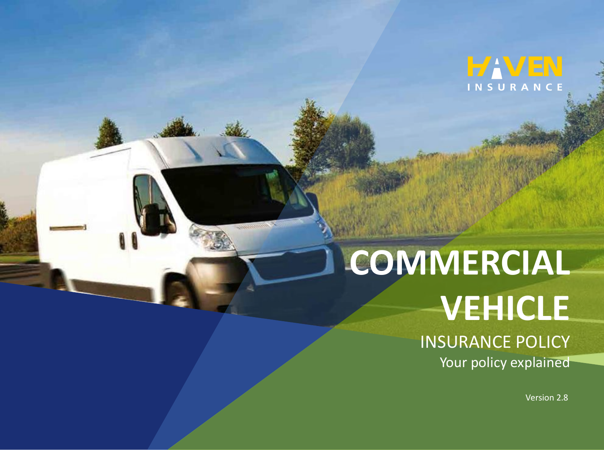## INSURANCE

# **COMMERCIAL VEHICLE**

INSURANCE POLICY Your policy explained

Version 2.8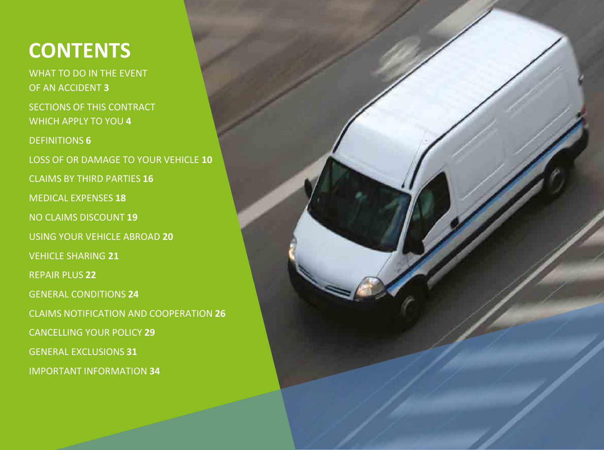### **CONTENTS**

WHAT TO DO IN THE EVENT OF AN ACCIDENT **3**

SECTIONS OF THIS CONTRACT WHICH APPLY TO YOU **4**

DEFINITIONS **6**

LOSS OF OR DAMAGE TO YOUR VEHICLE **10**

CLAIMS BY THIRD PARTIES **16**

MEDICAL EXPENSES **18**

NO CLAIMS DISCOUNT **19**

USING YOUR VEHICLE ABROAD **20**

VEHICLE SHARING **21**

REPAIR PLUS **22**

GENERAL CONDITIONS **24**

CLAIMS NOTIFICATION AND COOPERATION **26**

CANCELLING YOUR POLICY **29**

GENERAL EXCLUSIONS **31**

IMPORTANT INFORMATION **34**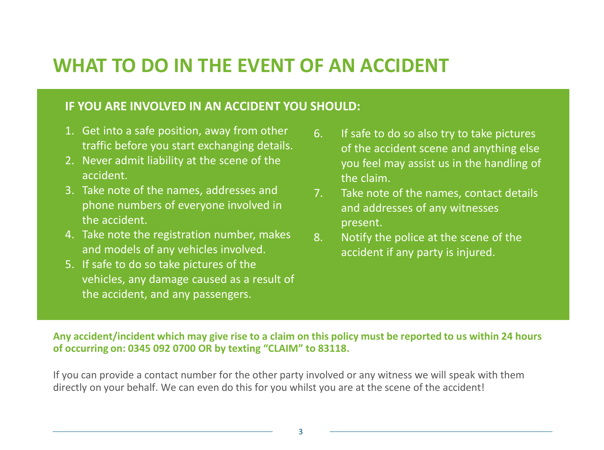### **WHAT TO DO IN THE EVENT OF AN ACCIDENT**

#### **IF YOU ARE INVOLVED IN AN ACCIDENT YOU SHOULD:**

- 1. Get into a safe position, away from other traffic before you start exchanging details.
- 2. Never admit liability at the scene of the accident.
- 3. Take note of the names, addresses and phone numbers of everyone involved in the accident.
- 4. Take note the registration number, makes and models of any vehicles involved.
- 5. If safe to do so take pictures of the vehicles, any damage caused as a result of the accident, and any passengers.
- 6. If safe to do so also try to take pictures of the accident scene and anything else you feel may assist us in the handling of the claim.
- 7. Take note of the names, contact details and addresses of any witnesses present.
- 8. Notify the police at the scene of the accident if any party is injured.

#### **Any accident/incident which may give rise to a claim on this policy must be reported to us within 24 hours of occurring on: 0345 092 0700 OR by texting "CLAIM" to 83118.**

If you can provide a contact number for the other party involved or any witness we will speak with them directly on your behalf. We can even do this for you whilst you are at the scene of the accident!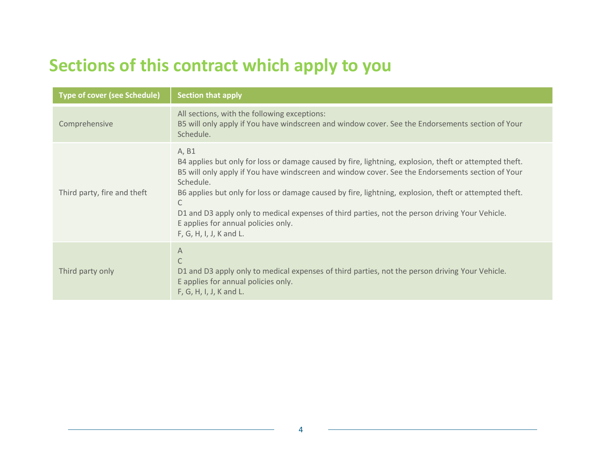### **Sections of this contract which apply to you**

| <b>Type of cover (see Schedule)</b> | Section that apply                                                                                                                                                                                                                                                                                                                                                                                                                                                                                                   |
|-------------------------------------|----------------------------------------------------------------------------------------------------------------------------------------------------------------------------------------------------------------------------------------------------------------------------------------------------------------------------------------------------------------------------------------------------------------------------------------------------------------------------------------------------------------------|
| Comprehensive                       | All sections, with the following exceptions:<br>B5 will only apply if You have windscreen and window cover. See the Endorsements section of Your<br>Schedule.                                                                                                                                                                                                                                                                                                                                                        |
| Third party, fire and theft         | A, B1<br>B4 applies but only for loss or damage caused by fire, lightning, explosion, theft or attempted theft.<br>B5 will only apply if You have windscreen and window cover. See the Endorsements section of Your<br>Schedule.<br>B6 applies but only for loss or damage caused by fire, lightning, explosion, theft or attempted theft.<br>C<br>D1 and D3 apply only to medical expenses of third parties, not the person driving Your Vehicle.<br>E applies for annual policies only.<br>F, G, H, I, J, K and L. |
| Third party only                    | $\overline{A}$<br>D1 and D3 apply only to medical expenses of third parties, not the person driving Your Vehicle.<br>E applies for annual policies only.<br>$F, G, H, I, J, K$ and L.                                                                                                                                                                                                                                                                                                                                |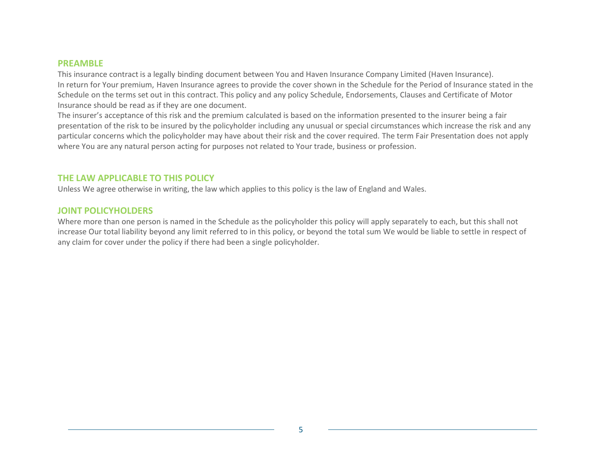#### **PREAMBLE**

This insurance contract is a legally binding document between You and Haven Insurance Company Limited (Haven Insurance). In return for Your premium, Haven Insurance agrees to provide the cover shown in the Schedule for the Period of Insurance stated in the Schedule on the terms set out in this contract. This policy and any policy Schedule, Endorsements, Clauses and Certificate of Motor Insurance should be read as if they are one document.

The insurer's acceptance of this risk and the premium calculated is based on the information presented to the insurer being a fair presentation of the risk to be insured by the policyholder including any unusual or special circumstances which increase the risk and any particular concerns which the policyholder may have about their risk and the cover required. The term Fair Presentation does not apply where You are any natural person acting for purposes not related to Your trade, business or profession.

#### **THE LAW APPLICABLE TO THIS POLICY**

Unless We agree otherwise in writing, the law which applies to this policy is the law of England and Wales.

#### **JOINT POLICYHOLDERS**

Where more than one person is named in the Schedule as the policyholder this policy will apply separately to each, but this shall not increase Our total liability beyond any limit referred to in this policy, or beyond the total sum We would be liable to settle in respect of any claim for cover under the policy if there had been a single policyholder.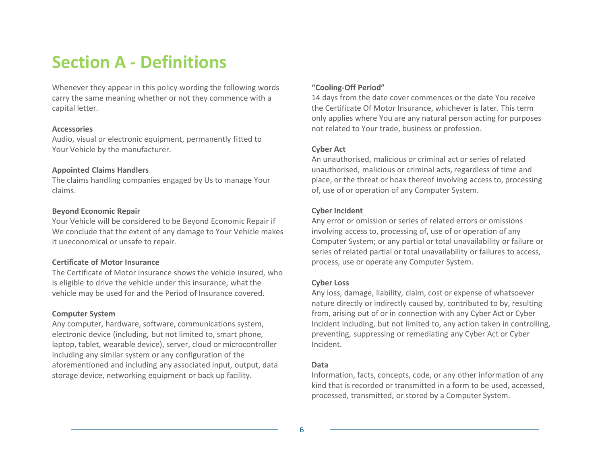### **Section A - Definitions**

Whenever they appear in this policy wording the following words carry the same meaning whether or not they commence with a capital letter.

#### **Accessories**

Audio, visual or electronic equipment, permanently fitted to Your Vehicle by the manufacturer.

#### **Appointed Claims Handlers**

The claims handling companies engaged by Us to manage Your claims.

#### **Beyond Economic Repair**

Your Vehicle will be considered to be Beyond Economic Repair if We conclude that the extent of any damage to Your Vehicle makes it uneconomical or unsafe to repair.

#### **Certificate of Motor Insurance**

The Certificate of Motor Insurance shows the vehicle insured, who is eligible to drive the vehicle under this insurance, what the vehicle may be used for and the Period of Insurance covered.

#### **Computer System**

Any computer, hardware, software, communications system, electronic device (including, but not limited to, smart phone, laptop, tablet, wearable device), server, cloud or microcontroller including any similar system or any configuration of the aforementioned and including any associated input, output, data storage device, networking equipment or back up facility.

#### **"Cooling-Off Period"**

14 days from the date cover commences or the date You receive the Certificate Of Motor Insurance, whichever is later. This term only applies where You are any natural person acting for purposes not related to Your trade, business or profession.

#### **Cyber Act**

An unauthorised, malicious or criminal act or series of related unauthorised, malicious or criminal acts, regardless of time and place, or the threat or hoax thereof involving access to, processing of, use of or operation of any Computer System.

#### **Cyber Incident**

Any error or omission or series of related errors or omissions involving access to, processing of, use of or operation of any Computer System; or any partial or total unavailability or failure or series of related partial or total unavailability or failures to access, process, use or operate any Computer System.

#### **Cyber Loss**

Any loss, damage, liability, claim, cost or expense of whatsoever nature directly or indirectly caused by, contributed to by, resulting from, arising out of or in connection with any Cyber Act or Cyber Incident including, but not limited to, any action taken in controlling, preventing, suppressing or remediating any Cyber Act or Cyber Incident.

#### **Data**

Information, facts, concepts, code, or any other information of any kind that is recorded or transmitted in a form to be used, accessed, processed, transmitted, or stored by a Computer System.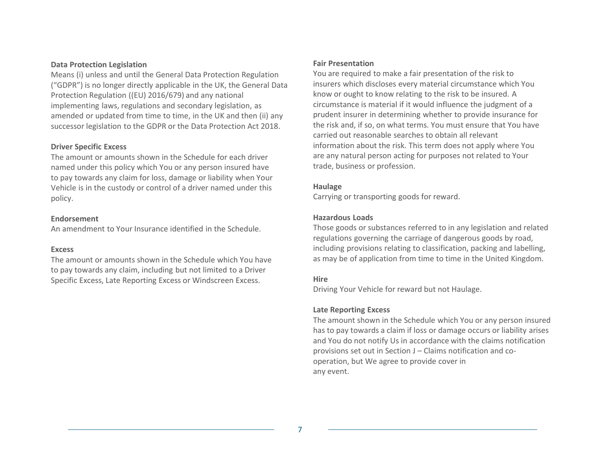#### **Data Protection Legislation**

Means (i) unless and until the General Data Protection Regulation ("GDPR") is no longer directly applicable in the UK, the General Data Protection Regulation ((EU) 2016/679) and any national implementing laws, regulations and secondary legislation, as amended or updated from time to time, in the UK and then (ii) any successor legislation to the GDPR or the Data Protection Act 2018.

#### **Driver Specific Excess**

The amount or amounts shown in the Schedule for each driver named under this policy which You or any person insured have to pay towards any claim for loss, damage or liability when Your Vehicle is in the custody or control of a driver named under this policy.

#### **Endorsement**

An amendment to Your Insurance identified in the Schedule.

#### **Excess**

The amount or amounts shown in the Schedule which You have to pay towards any claim, including but not limited to a Driver Specific Excess, Late Reporting Excess or Windscreen Excess.

#### **Fair Presentation**

You are required to make a fair presentation of the risk to insurers which discloses every material circumstance which You know or ought to know relating to the risk to be insured. A circumstance is material if it would influence the judgment of a prudent insurer in determining whether to provide insurance for the risk and, if so, on what terms. You must ensure that You have carried out reasonable searches to obtain all relevant information about the risk. This term does not apply where You are any natural person acting for purposes not related to Your trade, business or profession.

#### **Haulage**

Carrying or transporting goods for reward.

#### **Hazardous Loads**

Those goods or substances referred to in any legislation and related regulations governing the carriage of dangerous goods by road, including provisions relating to classification, packing and labelling, as may be of application from time to time in the United Kingdom.

#### **Hire**

Driving Your Vehicle for reward but not Haulage.

#### **Late Reporting Excess**

The amount shown in the Schedule which You or any person insured has to pay towards a claim if loss or damage occurs or liability arises and You do not notify Us in accordance with the claims notification provisions set out in Section J – Claims notification and cooperation, but We agree to provide cover in any event.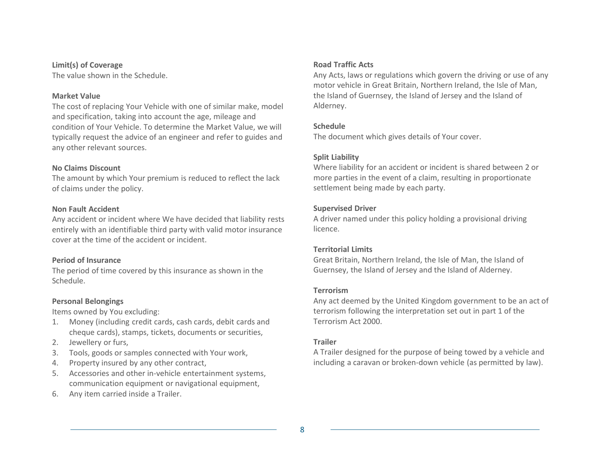#### **Limit(s) of Coverage**

The value shown in the Schedule.

#### **Market Value**

The cost of replacing Your Vehicle with one of similar make, model and specification, taking into account the age, mileage and condition of Your Vehicle. To determine the Market Value, we will typically request the advice of an engineer and refer to guides and any other relevant sources.

#### **No Claims Discount**

The amount by which Your premium is reduced to reflect the lack of claims under the policy.

#### **Non Fault Accident**

Any accident or incident where We have decided that liability rests entirely with an identifiable third party with valid motor insurance cover at the time of the accident or incident.

#### **Period of Insurance**

The period of time covered by this insurance as shown in the Schedule.

#### **Personal Belongings**

Items owned by You excluding:

- 1. Money (including credit cards, cash cards, debit cards and cheque cards), stamps, tickets, documents or securities,
- 2. Jewellery or furs,
- 3. Tools, goods or samples connected with Your work,
- 4. Property insured by any other contract,
- 5. Accessories and other in-vehicle entertainment systems, communication equipment or navigational equipment,
- 6. Any item carried inside a Trailer.

#### **Road Traffic Acts**

Any Acts, laws or regulations which govern the driving or use of any motor vehicle in Great Britain, Northern Ireland, the Isle of Man, the Island of Guernsey, the Island of Jersey and the Island of Alderney.

#### **Schedule**

The document which gives details of Your cover.

#### **Split Liability**

Where liability for an accident or incident is shared between 2 or more parties in the event of a claim, resulting in proportionate settlement being made by each party.

#### **Supervised Driver**

A driver named under this policy holding a provisional driving licence.

#### **Territorial Limits**

Great Britain, Northern Ireland, the Isle of Man, the Island of Guernsey, the Island of Jersey and the Island of Alderney.

#### **Terrorism**

Any act deemed by the United Kingdom government to be an act of terrorism following the interpretation set out in part 1 of the Terrorism Act 2000.

#### **Trailer**

A Trailer designed for the purpose of being towed by a vehicle and including a caravan or broken-down vehicle (as permitted by law).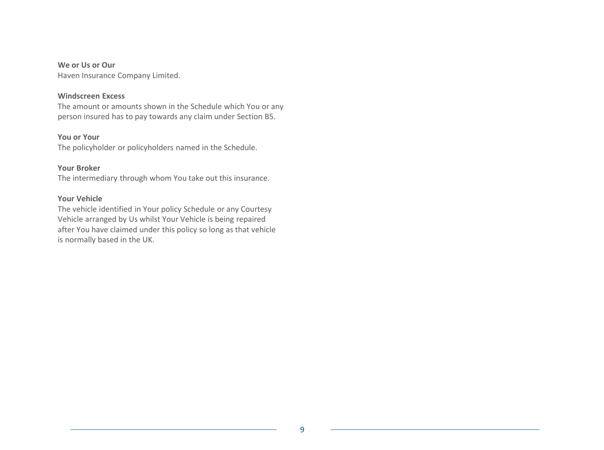#### **We or Us or Our**

Haven Insurance Company Limited.

#### **Windscreen Excess**

The amount or amounts shown in the Schedule which You or any person insured has to pay towards any claim under Section B5.

#### **You or Your**

The policyholder or policyholders named in the Schedule.

#### **Your Broker**

The intermediary through whom You take out this insurance.

#### **Your Vehicle**

The vehicle identified in Your policy Schedule or any Courtesy Vehicle arranged by Us whilst Your Vehicle is being repaired after You have claimed under this policy so long as that vehicle is normally based in the UK.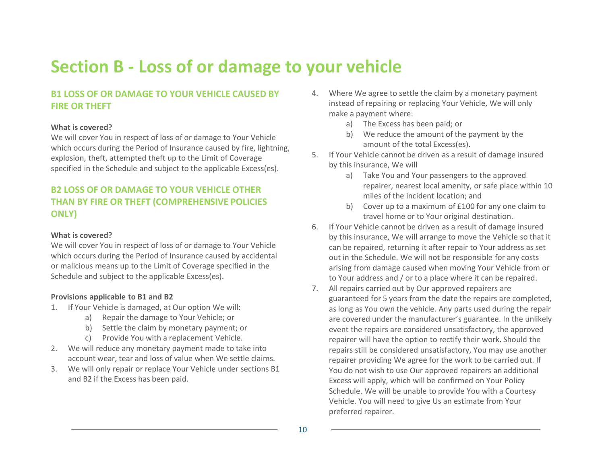### **Section B - Loss of or damage to your vehicle**

#### **B1 LOSS OF OR DAMAGE TO YOUR VEHICLE CAUSED BY FIRE OR THEFT**

#### **What is covered?**

We will cover You in respect of loss of or damage to Your Vehicle which occurs during the Period of Insurance caused by fire, lightning, explosion, theft, attempted theft up to the Limit of Coverage specified in the Schedule and subject to the applicable Excess(es).

#### **B2 LOSS OF OR DAMAGE TO YOUR VEHICLE OTHER THAN BY FIRE OR THEFT (COMPREHENSIVE POLICIES ONLY)**

#### **What is covered?**

We will cover You in respect of loss of or damage to Your Vehicle which occurs during the Period of Insurance caused by accidental or malicious means up to the Limit of Coverage specified in the Schedule and subject to the applicable Excess(es).

#### **Provisions applicable to B1 and B2**

- 1. If Your Vehicle is damaged, at Our option We will:
	- a) Repair the damage to Your Vehicle; or
	- b) Settle the claim by monetary payment; or
	- c) Provide You with a replacement Vehicle.
- 2. We will reduce any monetary payment made to take into account wear, tear and loss of value when We settle claims.
- 3. We will only repair or replace Your Vehicle under sections B1 and B2 if the Excess has been paid.
- 4. Where We agree to settle the claim by a monetary payment instead of repairing or replacing Your Vehicle, We will only make a payment where:
	- a) The Excess has been paid; or
	- b) We reduce the amount of the payment by the amount of the total Excess(es).
- 5. If Your Vehicle cannot be driven as a result of damage insured by this insurance, We will
	- a) Take You and Your passengers to the approved repairer, nearest local amenity, or safe place within 10 miles of the incident location; and
	- b) Cover up to a maximum of £100 for any one claim to travel home or to Your original destination.
- 6. If Your Vehicle cannot be driven as a result of damage insured by this insurance, We will arrange to move the Vehicle so that it can be repaired, returning it after repair to Your address as set out in the Schedule. We will not be responsible for any costs arising from damage caused when moving Your Vehicle from or to Your address and / or to a place where it can be repaired.
- 7. All repairs carried out by Our approved repairers are guaranteed for 5 years from the date the repairs are completed, as long as You own the vehicle. Any parts used during the repair are covered under the manufacturer's guarantee. In the unlikely event the repairs are considered unsatisfactory, the approved repairer will have the option to rectify their work. Should the repairs still be considered unsatisfactory, You may use another repairer providing We agree for the work to be carried out. If You do not wish to use Our approved repairers an additional Excess will apply, which will be confirmed on Your Policy Schedule. We will be unable to provide You with a Courtesy Vehicle. You will need to give Us an estimate from Your preferred repairer.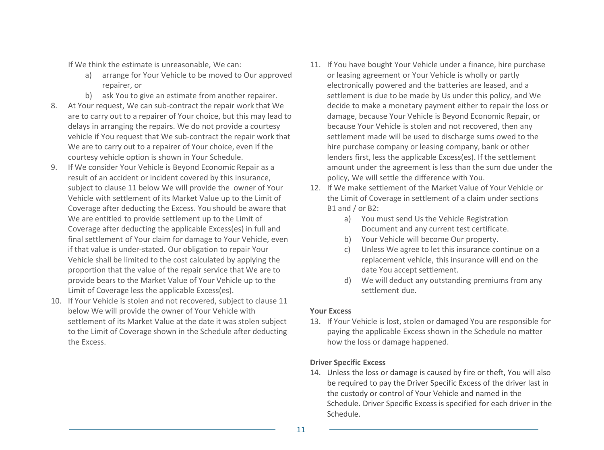If We think the estimate is unreasonable, We can:

- a) arrange for Your Vehicle to be moved to Our approved repairer, or
- b) ask You to give an estimate from another repairer.
- 8. At Your request, We can sub-contract the repair work that We are to carry out to a repairer of Your choice, but this may lead to delays in arranging the repairs. We do not provide a courtesy vehicle if You request that We sub-contract the repair work that We are to carry out to a repairer of Your choice, even if the courtesy vehicle option is shown in Your Schedule.
- 9. If We consider Your Vehicle is Beyond Economic Repair as a result of an accident or incident covered by this insurance, subject to clause 11 below We will provide the owner of Your Vehicle with settlement of its Market Value up to the Limit of Coverage after deducting the Excess. You should be aware that We are entitled to provide settlement up to the Limit of Coverage after deducting the applicable Excess(es) in full and final settlement of Your claim for damage to Your Vehicle, even if that value is under-stated. Our obligation to repair Your Vehicle shall be limited to the cost calculated by applying the proportion that the value of the repair service that We are to provide bears to the Market Value of Your Vehicle up to the Limit of Coverage less the applicable Excess(es).
- 10. If Your Vehicle is stolen and not recovered, subject to clause 11 below We will provide the owner of Your Vehicle with settlement of its Market Value at the date it was stolen subject to the Limit of Coverage shown in the Schedule after deducting the Excess.
- 11. If You have bought Your Vehicle under a finance, hire purchase or leasing agreement or Your Vehicle is wholly or partly electronically powered and the batteries are leased, and a settlement is due to be made by Us under this policy, and We decide to make a monetary payment either to repair the loss or damage, because Your Vehicle is Beyond Economic Repair, or because Your Vehicle is stolen and not recovered, then any settlement made will be used to discharge sums owed to the hire purchase company or leasing company, bank or other lenders first, less the applicable Excess(es). If the settlement amount under the agreement is less than the sum due under the policy, We will settle the difference with You.
- 12. If We make settlement of the Market Value of Your Vehicle or the Limit of Coverage in settlement of a claim under sections B1 and / or B2:
	- a) You must send Us the Vehicle Registration Document and any current test certificate.
	- b) Your Vehicle will become Our property.
	- c) Unless We agree to let this insurance continue on a replacement vehicle, this insurance will end on the date You accept settlement.
	- d) We will deduct any outstanding premiums from any settlement due.

#### **Your Excess**

13. If Your Vehicle is lost, stolen or damaged You are responsible for paying the applicable Excess shown in the Schedule no matter how the loss or damage happened.

#### **Driver Specific Excess**

14. Unless the loss or damage is caused by fire or theft, You will also be required to pay the Driver Specific Excess of the driver last in the custody or control of Your Vehicle and named in the Schedule. Driver Specific Excess is specified for each driver in the Schedule.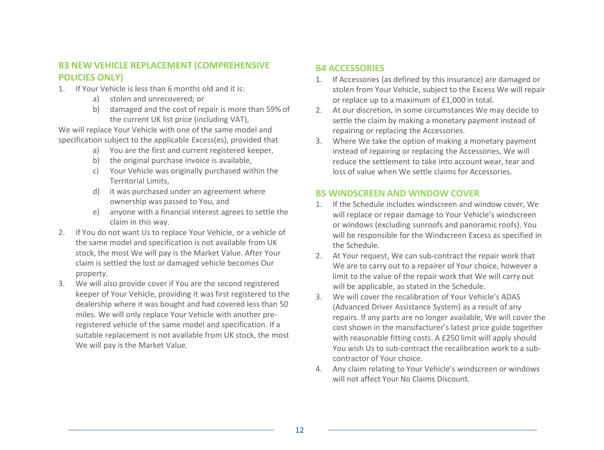#### **B3 NEW VEHICLE REPLACEMENT (COMPREHENSIVE POLICIES ONLY)**

- 1. If Your Vehicle is less than 6 months old and it is:
	- a) stolen and unrecovered; or
	- b) damaged and the cost of repair is more than 59% of the current UK list price (including VAT),

We will replace Your Vehicle with one of the same model and specification subject to the applicable Excess(es), provided that

- a) You are the first and current registered keeper,
- b) the original purchase invoice is available,
- c) Your Vehicle was originally purchased within the Territorial Limits,
- d) it was purchased under an agreement where ownership was passed to You, and
- e) anyone with a financial interest agrees to settle the claim in this way.
- 2. If You do not want Us to replace Your Vehicle, or a vehicle of the same model and specification is not available from UK stock, the most We will pay is the Market Value. After Your claim is settled the lost or damaged vehicle becomes Our property.
- 3. We will also provide cover if You are the second registered keeper of Your Vehicle, providing it was first registered to the dealership where it was bought and had covered less than 50 miles. We will only replace Your Vehicle with another preregistered vehicle of the same model and specification. If a suitable replacement is not available from UK stock, the most We will pay is the Market Value.

#### **B4 ACCESSORIES**

- 1. If Accessories (as defined by this insurance) are damaged or stolen from Your Vehicle, subject to the Excess We will repair or replace up to a maximum of £1,000 in total.
- 2. At our discretion, in some circumstances We may decide to settle the claim by making a monetary payment instead of repairing or replacing the Accessories.
- 3. Where We take the option of making a monetary payment instead of repairing or replacing the Accessories, We will reduce the settlement to take into account wear, tear and loss of value when We settle claims for Accessories.

#### **B5 WINDSCREEN AND WINDOW COVER**

- 1. If the Schedule includes windscreen and window cover, We will replace or repair damage to Your Vehicle's windscreen or windows (excluding sunroofs and panoramic roofs). You will be responsible for the Windscreen Excess as specified in the Schedule.
- 2. At Your request, We can sub-contract the repair work that We are to carry out to a repairer of Your choice, however a limit to the value of the repair work that We will carry out will be applicable, as stated in the Schedule.
- 3. We will cover the recalibration of Your Vehicle's ADAS (Advanced Driver Assistance System) as a result of any repairs. If any parts are no longer available, We will cover the cost shown in the manufacturer's latest price guide together with reasonable fitting costs. A £250 limit will apply should You wish Us to sub-contract the recalibration work to a subcontractor of Your choice.
- 4. Any claim relating to Your Vehicle's windscreen or windows will not affect Your No Claims Discount.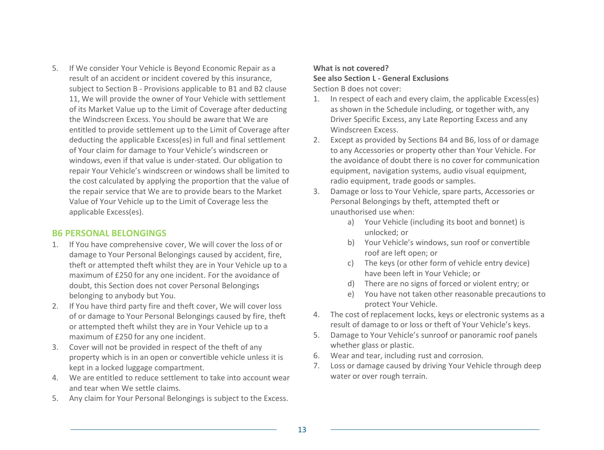5. If We consider Your Vehicle is Beyond Economic Repair as a result of an accident or incident covered by this insurance, subject to Section B - Provisions applicable to B1 and B2 clause 11, We will provide the owner of Your Vehicle with settlement of its Market Value up to the Limit of Coverage after deducting the Windscreen Excess. You should be aware that We are entitled to provide settlement up to the Limit of Coverage after deducting the applicable Excess(es) in full and final settlement of Your claim for damage to Your Vehicle's windscreen or windows, even if that value is under-stated. Our obligation to repair Your Vehicle's windscreen or windows shall be limited to the cost calculated by applying the proportion that the value of the repair service that We are to provide bears to the Market Value of Your Vehicle up to the Limit of Coverage less the applicable Excess(es).

#### **B6 PERSONAL BELONGINGS**

- 1. If You have comprehensive cover, We will cover the loss of or damage to Your Personal Belongings caused by accident, fire, theft or attempted theft whilst they are in Your Vehicle up to a maximum of £250 for any one incident. For the avoidance of doubt, this Section does not cover Personal Belongings belonging to anybody but You.
- 2. If You have third party fire and theft cover, We will cover loss of or damage to Your Personal Belongings caused by fire, theft or attempted theft whilst they are in Your Vehicle up to a maximum of £250 for any one incident.
- 3. Cover will not be provided in respect of the theft of any property which is in an open or convertible vehicle unless it is kept in a locked luggage compartment.
- 4. We are entitled to reduce settlement to take into account wear and tear when We settle claims.
- 5. Any claim for Your Personal Belongings is subject to the Excess.

#### **What is not covered?**

#### **See also Section L - General Exclusions** Section B does not cover:

- 1. In respect of each and every claim, the applicable Excess(es) as shown in the Schedule including, or together with, any Driver Specific Excess, any Late Reporting Excess and any Windscreen Excess.
- 2. Except as provided by Sections B4 and B6, loss of or damage to any Accessories or property other than Your Vehicle. For the avoidance of doubt there is no cover for communication equipment, navigation systems, audio visual equipment, radio equipment, trade goods or samples.
- 3. Damage or loss to Your Vehicle, spare parts, Accessories or Personal Belongings by theft, attempted theft or unauthorised use when:
	- a) Your Vehicle (including its boot and bonnet) is unlocked; or
	- b) Your Vehicle's windows, sun roof or convertible roof are left open; or
	- c) The keys (or other form of vehicle entry device) have been left in Your Vehicle; or
	- d) There are no signs of forced or violent entry; or
	- e) You have not taken other reasonable precautions to protect Your Vehicle.
- 4. The cost of replacement locks, keys or electronic systems as a result of damage to or loss or theft of Your Vehicle's keys.
- 5. Damage to Your Vehicle's sunroof or panoramic roof panels whether glass or plastic.
- 6. Wear and tear, including rust and corrosion.
- 7. Loss or damage caused by driving Your Vehicle through deep water or over rough terrain.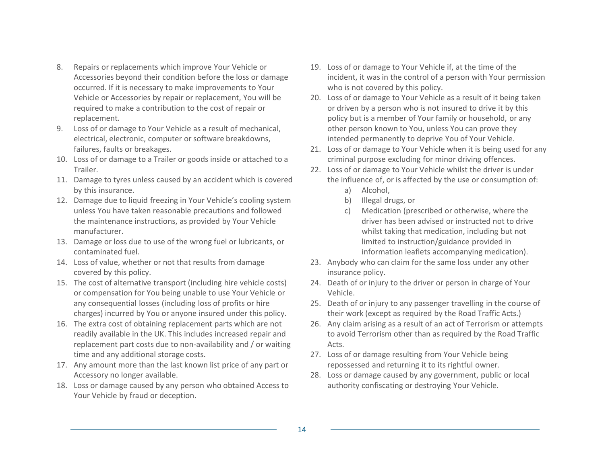- 8. Repairs or replacements which improve Your Vehicle or Accessories beyond their condition before the loss or damage occurred. If it is necessary to make improvements to Your Vehicle or Accessories by repair or replacement, You will be required to make a contribution to the cost of repair or replacement.
- 9. Loss of or damage to Your Vehicle as a result of mechanical, electrical, electronic, computer or software breakdowns, failures, faults or breakages.
- 10. Loss of or damage to a Trailer or goods inside or attached to a Trailer.
- 11. Damage to tyres unless caused by an accident which is covered by this insurance.
- 12. Damage due to liquid freezing in Your Vehicle's cooling system unless You have taken reasonable precautions and followed the maintenance instructions, as provided by Your Vehicle manufacturer.
- 13. Damage or loss due to use of the wrong fuel or lubricants, or contaminated fuel.
- 14. Loss of value, whether or not that results from damage covered by this policy.
- 15. The cost of alternative transport (including hire vehicle costs) or compensation for You being unable to use Your Vehicle or any consequential losses (including loss of profits or hire charges) incurred by You or anyone insured under this policy.
- 16. The extra cost of obtaining replacement parts which are not readily available in the UK. This includes increased repair and replacement part costs due to non-availability and / or waiting time and any additional storage costs.
- 17. Any amount more than the last known list price of any part or Accessory no longer available.
- 18. Loss or damage caused by any person who obtained Access to Your Vehicle by fraud or deception.
- 19. Loss of or damage to Your Vehicle if, at the time of the incident, it was in the control of a person with Your permission who is not covered by this policy.
- 20. Loss of or damage to Your Vehicle as a result of it being taken or driven by a person who is not insured to drive it by this policy but is a member of Your family or household, or any other person known to You, unless You can prove they intended permanently to deprive You of Your Vehicle.
- 21. Loss of or damage to Your Vehicle when it is being used for any criminal purpose excluding for minor driving offences.
- 22. Loss of or damage to Your Vehicle whilst the driver is under the influence of, or is affected by the use or consumption of:
	- a) Alcohol,
	- b) Illegal drugs, or
	- c) Medication (prescribed or otherwise, where the driver has been advised or instructed not to drive whilst taking that medication, including but not limited to instruction/guidance provided in information leaflets accompanying medication).
- 23. Anybody who can claim for the same loss under any other insurance policy.
- 24. Death of or injury to the driver or person in charge of Your Vehicle.
- 25. Death of or injury to any passenger travelling in the course of their work (except as required by the Road Traffic Acts.)
- 26. Any claim arising as a result of an act of Terrorism or attempts to avoid Terrorism other than as required by the Road Traffic Acts.
- 27. Loss of or damage resulting from Your Vehicle being repossessed and returning it to its rightful owner.
- 28. Loss or damage caused by any government, public or local authority confiscating or destroying Your Vehicle.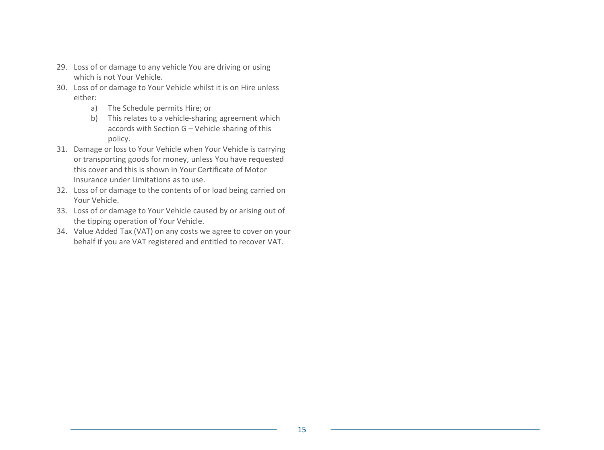- 29. Loss of or damage to any vehicle You are driving or using which is not Your Vehicle.
- 30. Loss of or damage to Your Vehicle whilst it is on Hire unless either:
	- a) The Schedule permits Hire; or
	- b) This relates to a vehicle-sharing agreement which accords with Section G – Vehicle sharing of this policy.
- 31. Damage or loss to Your Vehicle when Your Vehicle is carrying or transporting goods for money, unless You have requested this cover and this is shown in Your Certificate of Motor Insurance under Limitations as to use.
- 32. Loss of or damage to the contents of or load being carried on Your Vehicle.
- 33. Loss of or damage to Your Vehicle caused by or arising out of the tipping operation of Your Vehicle.
- 34. Value Added Tax (VAT) on any costs we agree to cover on your behalf if you are VAT registered and entitled to recover VAT.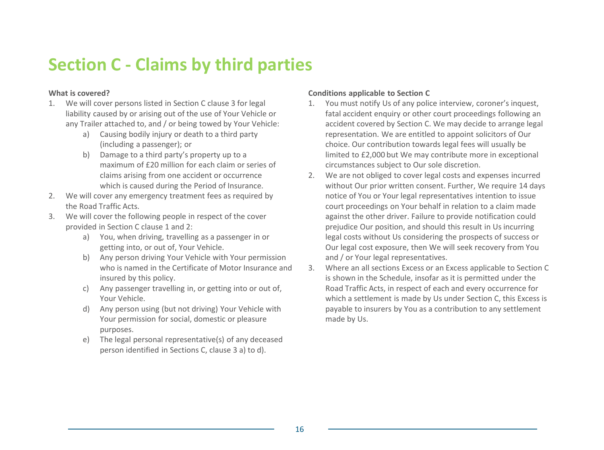### **Section C - Claims by third parties**

#### **What is covered?**

- 1. We will cover persons listed in Section C clause 3 for legal liability caused by or arising out of the use of Your Vehicle or any Trailer attached to, and / or being towed by Your Vehicle:
	- a) Causing bodily injury or death to a third party (including a passenger); or
	- b) Damage to a third party's property up to a maximum of £20 million for each claim or series of claims arising from one accident or occurrence which is caused during the Period of Insurance.
- 2. We will cover any emergency treatment fees as required by the Road Traffic Acts.
- 3. We will cover the following people in respect of the cover provided in Section C clause 1 and 2:
	- a) You, when driving, travelling as a passenger in or getting into, or out of, Your Vehicle.
	- b) Any person driving Your Vehicle with Your permission who is named in the Certificate of Motor Insurance and insured by this policy.
	- c) Any passenger travelling in, or getting into or out of, Your Vehicle.
	- d) Any person using (but not driving) Your Vehicle with Your permission for social, domestic or pleasure purposes.
	- e) The legal personal representative(s) of any deceased person identified in Sections C, clause 3 a) to d).

#### **Conditions applicable to Section C**

- 1. You must notify Us of any police interview, coroner's inquest, fatal accident enquiry or other court proceedings following an accident covered by Section C. We may decide to arrange legal representation. We are entitled to appoint solicitors of Our choice. Our contribution towards legal fees will usually be limited to £2,000 but We may contribute more in exceptional circumstances subject to Our sole discretion.
- 2. We are not obliged to cover legal costs and expenses incurred without Our prior written consent. Further, We require 14 days notice of You or Your legal representatives intention to issue court proceedings on Your behalf in relation to a claim made against the other driver. Failure to provide notification could prejudice Our position, and should this result in Us incurring legal costs without Us considering the prospects of success or Our legal cost exposure, then We will seek recovery from You and / or Your legal representatives.
- 3. Where an all sections Excess or an Excess applicable to Section C is shown in the Schedule, insofar as it is permitted under the Road Traffic Acts, in respect of each and every occurrence for which a settlement is made by Us under Section C, this Excess is payable to insurers by You as a contribution to any settlement made by Us.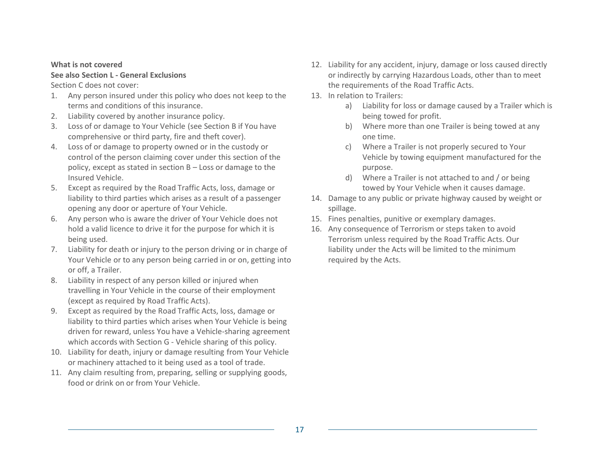#### **What is not covered**

#### **See also Section L - General Exclusions**

Section C does not cover:

- 1. Any person insured under this policy who does not keep to the terms and conditions of this insurance.
- 2. Liability covered by another insurance policy.
- 3. Loss of or damage to Your Vehicle (see Section B if You have comprehensive or third party, fire and theft cover).
- 4. Loss of or damage to property owned or in the custody or control of the person claiming cover under this section of the policy, except as stated in section B – Loss or damage to the Insured Vehicle.
- 5. Except as required by the Road Traffic Acts, loss, damage or liability to third parties which arises as a result of a passenger opening any door or aperture of Your Vehicle.
- 6. Any person who is aware the driver of Your Vehicle does not hold a valid licence to drive it for the purpose for which it is being used.
- 7. Liability for death or injury to the person driving or in charge of Your Vehicle or to any person being carried in or on, getting into or off, a Trailer.
- 8. Liability in respect of any person killed or injured when travelling in Your Vehicle in the course of their employment (except as required by Road Traffic Acts).
- 9. Except as required by the Road Traffic Acts, loss, damage or liability to third parties which arises when Your Vehicle is being driven for reward, unless You have a Vehicle-sharing agreement which accords with Section G - Vehicle sharing of this policy.
- 10. Liability for death, injury or damage resulting from Your Vehicle or machinery attached to it being used as a tool of trade.
- 11. Any claim resulting from, preparing, selling or supplying goods, food or drink on or from Your Vehicle.
- 12. Liability for any accident, injury, damage or loss caused directly or indirectly by carrying Hazardous Loads, other than to meet the requirements of the Road Traffic Acts.
- 13. In relation to Trailers:
	- a) Liability for loss or damage caused by a Trailer which is being towed for profit.
	- b) Where more than one Trailer is being towed at any one time.
	- c) Where a Trailer is not properly secured to Your Vehicle by towing equipment manufactured for the purpose.
	- d) Where a Trailer is not attached to and / or being towed by Your Vehicle when it causes damage.
- 14. Damage to any public or private highway caused by weight or spillage.
- 15. Fines penalties, punitive or exemplary damages.
- 16. Any consequence of Terrorism or steps taken to avoid Terrorism unless required by the Road Traffic Acts. Our liability under the Acts will be limited to the minimum required by the Acts.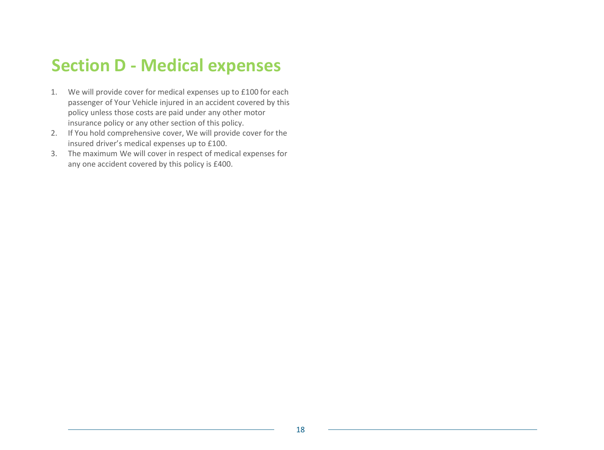### **Section D - Medical expenses**

- 1. We will provide cover for medical expenses up to £100 for each passenger of Your Vehicle injured in an accident covered by this policy unless those costs are paid under any other motor insurance policy or any other section of this policy.
- 2. If You hold comprehensive cover, We will provide cover for the insured driver's medical expenses up to £100.
- 3. The maximum We will cover in respect of medical expenses for any one accident covered by this policy is £400.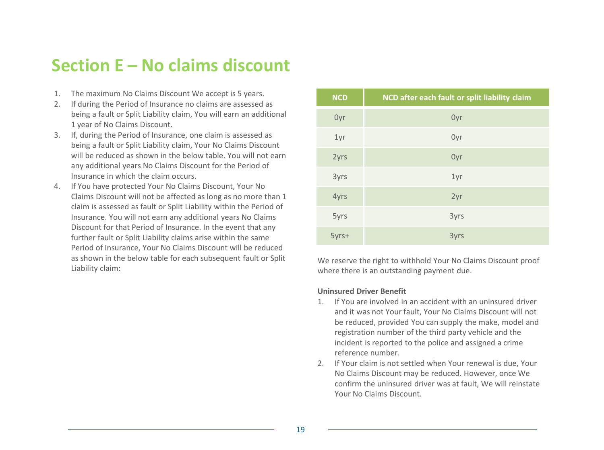### **Section E – No claims discount**

- 1. The maximum No Claims Discount We accept is 5 years.
- 2. If during the Period of Insurance no claims are assessed as being a fault or Split Liability claim, You will earn an additional 1 year of No Claims Discount.
- 3. If, during the Period of Insurance, one claim is assessed as being a fault or Split Liability claim, Your No Claims Discount will be reduced as shown in the below table. You will not earn any additional years No Claims Discount for the Period of Insurance in which the claim occurs.
- 4. If You have protected Your No Claims Discount, Your No Claims Discount will not be affected as long as no more than 1 claim is assessed as fault or Split Liability within the Period of Insurance. You will not earn any additional years No Claims Discount for that Period of Insurance. In the event that any further fault or Split Liability claims arise within the same Period of Insurance, Your No Claims Discount will be reduced as shown in the below table for each subsequent fault or Split Liability claim:

| <b>NCD</b> | NCD after each fault or split liability claim |  |
|------------|-----------------------------------------------|--|
| Oyr        | Oyr                                           |  |
| 1yr        | Oyr                                           |  |
| 2yrs       | Oyr                                           |  |
| 3yrs       | 1yr                                           |  |
| 4yrs       | 2yr                                           |  |
| 5yrs       | 3yrs                                          |  |
| 5yrs+      | 3yrs                                          |  |

We reserve the right to withhold Your No Claims Discount proof where there is an outstanding payment due.

#### **Uninsured Driver Benefit**

- 1. If You are involved in an accident with an uninsured driver and it was not Your fault, Your No Claims Discount will not be reduced, provided You can supply the make, model and registration number of the third party vehicle and the incident is reported to the police and assigned a crime reference number.
- 2. If Your claim is not settled when Your renewal is due, Your No Claims Discount may be reduced. However, once We confirm the uninsured driver was at fault, We will reinstate Your No Claims Discount.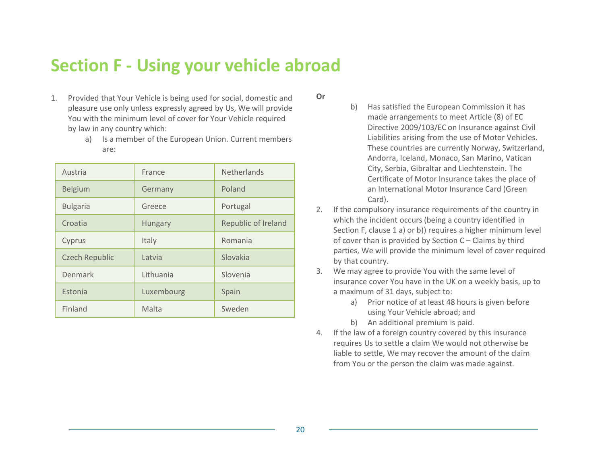### **Section F - Using your vehicle abroad**

- 1. Provided that Your Vehicle is being used for social, domestic and pleasure use only unless expressly agreed by Us, We will provide You with the minimum level of cover for Your Vehicle required by law in any country which:
	- a) Is a member of the European Union. Current members are:

| Austria               | France         | <b>Netherlands</b>  |
|-----------------------|----------------|---------------------|
| <b>Belgium</b>        | Germany        | Poland              |
| <b>Bulgaria</b>       | Greece         | Portugal            |
| Croatia               | <b>Hungary</b> | Republic of Ireland |
| Cyprus                | Italy          | Romania             |
| <b>Czech Republic</b> | Latvia         | Slovakia            |
| Denmark               | Lithuania      | Slovenia            |
| Estonia               | Luxembourg     | Spain               |
| Finland               | Malta          | Sweden              |

- **Or**
- b) Has satisfied the European Commission it has made arrangements to meet Article (8) of EC Directive 2009/103/EC on Insurance against Civil Liabilities arising from the use of Motor Vehicles. These countries are currently Norway, Switzerland, Andorra, Iceland, Monaco, San Marino, Vatican City, Serbia, Gibraltar and Liechtenstein. The Certificate of Motor Insurance takes the place of an International Motor Insurance Card (Green Card).
- 2. If the compulsory insurance requirements of the country in which the incident occurs (being a country identified in Section F, clause 1 a) or b)) requires a higher minimum level of cover than is provided by Section C – Claims by third parties, We will provide the minimum level of cover required by that country.
- 3. We may agree to provide You with the same level of insurance cover You have in the UK on a weekly basis, up to a maximum of 31 days, subject to:
	- a) Prior notice of at least 48 hours is given before using Your Vehicle abroad; and
	- b) An additional premium is paid.
- 4. If the law of a foreign country covered by this insurance requires Us to settle a claim We would not otherwise be liable to settle, We may recover the amount of the claim from You or the person the claim was made against.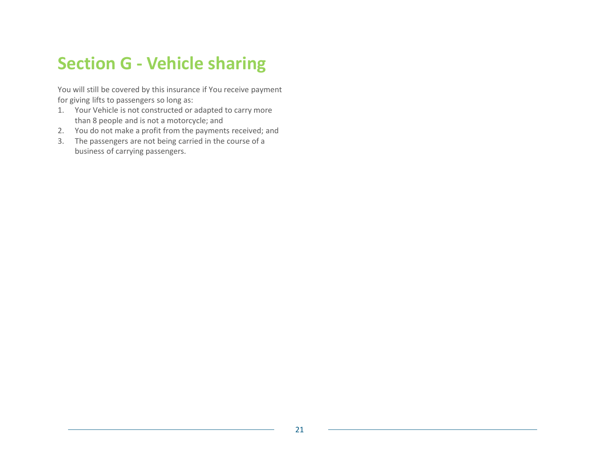### **Section G - Vehicle sharing**

You will still be covered by this insurance if You receive payment for giving lifts to passengers so long as:

- 1. Your Vehicle is not constructed or adapted to carry more than 8 people and is not a motorcycle; and
- 2. You do not make a profit from the payments received; and
- 3. The passengers are not being carried in the course of a business of carrying passengers.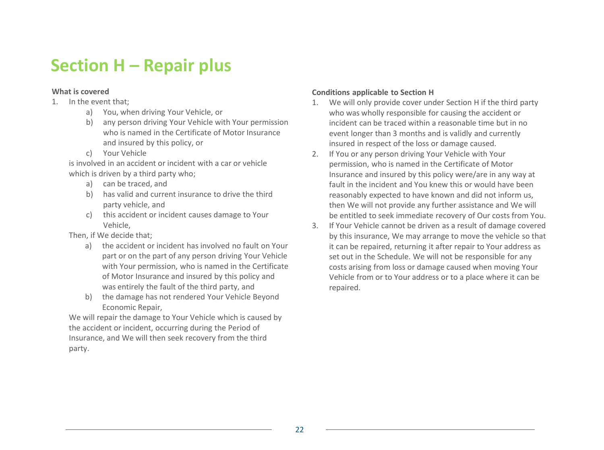### **Section H – Repair plus**

#### **What is covered**

- 1. In the event that;
	- a) You, when driving Your Vehicle, or
	- b) any person driving Your Vehicle with Your permission who is named in the Certificate of Motor Insurance and insured by this policy, or
	- c) Your Vehicle

is involved in an accident or incident with a car or vehicle which is driven by a third party who;

- a) can be traced, and
- b) has valid and current insurance to drive the third party vehicle, and
- c) this accident or incident causes damage to Your Vehicle,

Then, if We decide that;

- a) the accident or incident has involved no fault on Your part or on the part of any person driving Your Vehicle with Your permission, who is named in the Certificate of Motor Insurance and insured by this policy and was entirely the fault of the third party, and
- b) the damage has not rendered Your Vehicle Beyond Economic Repair,

We will repair the damage to Your Vehicle which is caused by the accident or incident, occurring during the Period of Insurance, and We will then seek recovery from the third party.

#### **Conditions applicable to Section H**

- 1. We will only provide cover under Section H if the third party who was wholly responsible for causing the accident or incident can be traced within a reasonable time but in no event longer than 3 months and is validly and currently insured in respect of the loss or damage caused.
- 2. If You or any person driving Your Vehicle with Your permission, who is named in the Certificate of Motor Insurance and insured by this policy were/are in any way at fault in the incident and You knew this or would have been reasonably expected to have known and did not inform us, then We will not provide any further assistance and We will be entitled to seek immediate recovery of Our costs from You.
- 3. If Your Vehicle cannot be driven as a result of damage covered by this insurance, We may arrange to move the vehicle so that it can be repaired, returning it after repair to Your address as set out in the Schedule. We will not be responsible for any costs arising from loss or damage caused when moving Your Vehicle from or to Your address or to a place where it can be repaired.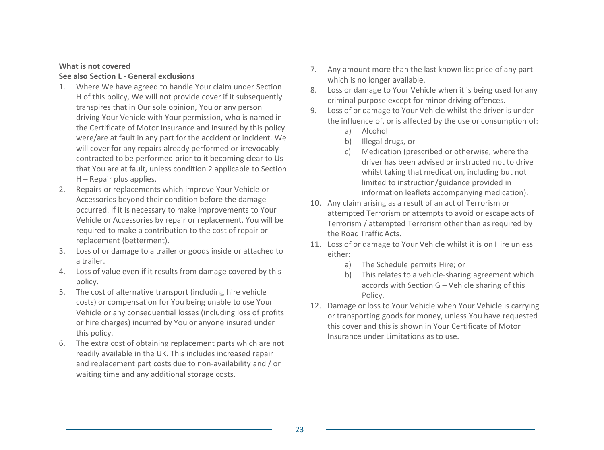#### **What is not covered**

#### **See also Section L - General exclusions**

- 1. Where We have agreed to handle Your claim under Section H of this policy, We will not provide cover if it subsequently transpires that in Our sole opinion, You or any person driving Your Vehicle with Your permission, who is named in the Certificate of Motor Insurance and insured by this policy were/are at fault in any part for the accident or incident. We will cover for any repairs already performed or irrevocably contracted to be performed prior to it becoming clear to Us that You are at fault, unless condition 2 applicable to Section H – Repair plus applies.
- 2. Repairs or replacements which improve Your Vehicle or Accessories beyond their condition before the damage occurred. If it is necessary to make improvements to Your Vehicle or Accessories by repair or replacement, You will be required to make a contribution to the cost of repair or replacement (betterment).
- 3. Loss of or damage to a trailer or goods inside or attached to a trailer.
- 4. Loss of value even if it results from damage covered by this policy.
- 5. The cost of alternative transport (including hire vehicle costs) or compensation for You being unable to use Your Vehicle or any consequential losses (including loss of profits or hire charges) incurred by You or anyone insured under this policy.
- 6. The extra cost of obtaining replacement parts which are not readily available in the UK. This includes increased repair and replacement part costs due to non-availability and / or waiting time and any additional storage costs.
- 7. Any amount more than the last known list price of any part which is no longer available.
- 8. Loss or damage to Your Vehicle when it is being used for any criminal purpose except for minor driving offences.
- 9. Loss of or damage to Your Vehicle whilst the driver is under the influence of, or is affected by the use or consumption of:
	- a) Alcohol
	- b) Illegal drugs, or
	- c) Medication (prescribed or otherwise, where the driver has been advised or instructed not to drive whilst taking that medication, including but not limited to instruction/guidance provided in information leaflets accompanying medication).
- 10. Any claim arising as a result of an act of Terrorism or attempted Terrorism or attempts to avoid or escape acts of Terrorism / attempted Terrorism other than as required by the Road Traffic Acts.
- 11. Loss of or damage to Your Vehicle whilst it is on Hire unless either:
	- a) The Schedule permits Hire; or
	- b) This relates to a vehicle-sharing agreement which accords with Section G – Vehicle sharing of this Policy.
- 12. Damage or loss to Your Vehicle when Your Vehicle is carrying or transporting goods for money, unless You have requested this cover and this is shown in Your Certificate of Motor Insurance under Limitations as to use.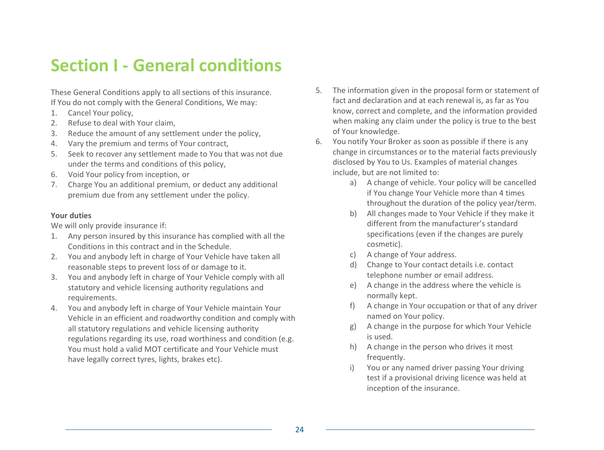### **Section I - General conditions**

These General Conditions apply to all sections of this insurance. If You do not comply with the General Conditions, We may:

- 1. Cancel Your policy,
- 2. Refuse to deal with Your claim,
- 3. Reduce the amount of any settlement under the policy,
- 4. Vary the premium and terms of Your contract,
- 5. Seek to recover any settlement made to You that was not due under the terms and conditions of this policy,
- 6. Void Your policy from inception, or
- 7. Charge You an additional premium, or deduct any additional premium due from any settlement under the policy.

#### **Your duties**

We will only provide insurance if:

- 1. Any person insured by this insurance has complied with all the Conditions in this contract and in the Schedule.
- 2. You and anybody left in charge of Your Vehicle have taken all reasonable steps to prevent loss of or damage to it.
- 3. You and anybody left in charge of Your Vehicle comply with all statutory and vehicle licensing authority regulations and requirements.
- 4. You and anybody left in charge of Your Vehicle maintain Your Vehicle in an efficient and roadworthy condition and comply with all statutory regulations and vehicle licensing authority regulations regarding its use, road worthiness and condition (e.g. You must hold a valid MOT certificate and Your Vehicle must have legally correct tyres, lights, brakes etc).
- 5. The information given in the proposal form or statement of fact and declaration and at each renewal is, as far as You know, correct and complete, and the information provided when making any claim under the policy is true to the best of Your knowledge.
- 6. You notify Your Broker as soon as possible if there is any change in circumstances or to the material facts previously disclosed by You to Us. Examples of material changes include, but are not limited to:
	- a) A change of vehicle. Your policy will be cancelled if You change Your Vehicle more than 4 times throughout the duration of the policy year/term.
	- b) All changes made to Your Vehicle if they make it different from the manufacturer's standard specifications (even if the changes are purely cosmetic).
	- c) A change of Your address.
	- d) Change to Your contact details i.e. contact telephone number or email address.
	- e) A change in the address where the vehicle is normally kept.
	- f) A change in Your occupation or that of any driver named on Your policy.
	- g) A change in the purpose for which Your Vehicle is used.
	- h) A change in the person who drives it most frequently.
	- i) You or any named driver passing Your driving test if a provisional driving licence was held at inception of the insurance.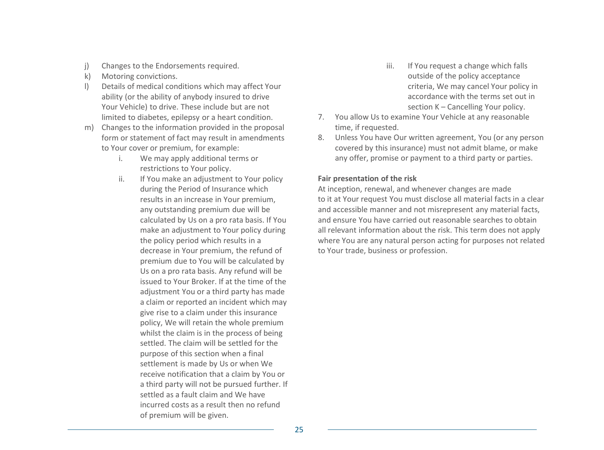- j) Changes to the Endorsements required.
- k) Motoring convictions.
- l) Details of medical conditions which may affect Your ability (or the ability of anybody insured to drive Your Vehicle) to drive. These include but are not limited to diabetes, epilepsy or a heart condition.
- m) Changes to the information provided in the proposal form or statement of fact may result in amendments to Your cover or premium, for example:
	- i. We may apply additional terms or restrictions to Your policy.
	- ii. If You make an adjustment to Your policy during the Period of Insurance which results in an increase in Your premium, any outstanding premium due will be calculated by Us on a pro rata basis. If You make an adjustment to Your policy during the policy period which results in a decrease in Your premium, the refund of premium due to You will be calculated by Us on a pro rata basis. Any refund will be issued to Your Broker. If at the time of the adjustment You or a third party has made a claim or reported an incident which may give rise to a claim under this insurance policy, We will retain the whole premium whilst the claim is in the process of being settled. The claim will be settled for the purpose of this section when a final settlement is made by Us or when We receive notification that a claim by You or a third party will not be pursued further. If settled as a fault claim and We have incurred costs as a result then no refund of premium will be given.
- iii. If You request a change which falls outside of the policy acceptance criteria, We may cancel Your policy in accordance with the terms set out in section K – Cancelling Your policy.
- 7. You allow Us to examine Your Vehicle at any reasonable time, if requested.
- 8. Unless You have Our written agreement, You (or any person covered by this insurance) must not admit blame, or make any offer, promise or payment to a third party or parties.

#### **Fair presentation of the risk**

At inception, renewal, and whenever changes are made to it at Your request You must disclose all material facts in a clear and accessible manner and not misrepresent any material facts, and ensure You have carried out reasonable searches to obtain all relevant information about the risk. This term does not apply where You are any natural person acting for purposes not related to Your trade, business or profession.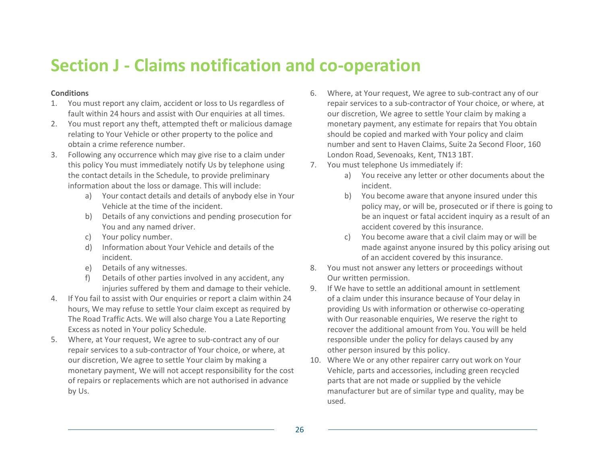### **Section J - Claims notification and co-operation**

#### **Conditions**

- 1. You must report any claim, accident or loss to Us regardless of fault within 24 hours and assist with Our enquiries at all times.
- 2. You must report any theft, attempted theft or malicious damage relating to Your Vehicle or other property to the police and obtain a crime reference number.
- 3. Following any occurrence which may give rise to a claim under this policy You must immediately notify Us by telephone using the contact details in the Schedule, to provide preliminary information about the loss or damage. This will include:
	- a) Your contact details and details of anybody else in Your Vehicle at the time of the incident.
	- b) Details of any convictions and pending prosecution for You and any named driver.
	- c) Your policy number.
	- d) Information about Your Vehicle and details of the incident.
	- e) Details of any witnesses.
	- f) Details of other parties involved in any accident, any injuries suffered by them and damage to their vehicle.
- 4. If You fail to assist with Our enquiries or report a claim within 24 hours, We may refuse to settle Your claim except as required by The Road Traffic Acts. We will also charge You a Late Reporting Excess as noted in Your policy Schedule.
- 5. Where, at Your request, We agree to sub-contract any of our repair services to a sub-contractor of Your choice, or where, at our discretion, We agree to settle Your claim by making a monetary payment, We will not accept responsibility for the cost of repairs or replacements which are not authorised in advance by Us.
- 6. Where, at Your request, We agree to sub-contract any of our repair services to a sub-contractor of Your choice, or where, at our discretion, We agree to settle Your claim by making a monetary payment, any estimate for repairs that You obtain should be copied and marked with Your policy and claim number and sent to Haven Claims, Suite 2a Second Floor, 160 London Road, Sevenoaks, Kent, TN13 1BT.
- 7. You must telephone Us immediately if:
	- a) You receive any letter or other documents about the incident.
	- b) You become aware that anyone insured under this policy may, or will be, prosecuted or if there is going to be an inquest or fatal accident inquiry as a result of an accident covered by this insurance.
	- c) You become aware that a civil claim may or will be made against anyone insured by this policy arising out of an accident covered by this insurance.
- 8. You must not answer any letters or proceedings without Our written permission.
- 9. If We have to settle an additional amount in settlement of a claim under this insurance because of Your delay in providing Us with information or otherwise co-operating with Our reasonable enquiries, We reserve the right to recover the additional amount from You. You will be held responsible under the policy for delays caused by any other person insured by this policy.
- 10. Where We or any other repairer carry out work on Your Vehicle, parts and accessories, including green recycled parts that are not made or supplied by the vehicle manufacturer but are of similar type and quality, may be used.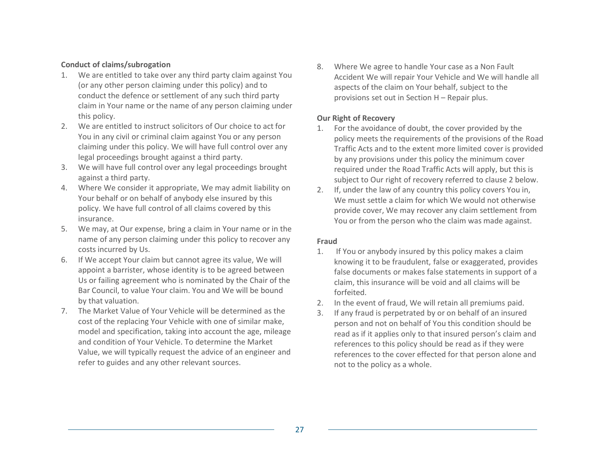#### **Conduct of claims/subrogation**

- 1. We are entitled to take over any third party claim against You (or any other person claiming under this policy) and to conduct the defence or settlement of any such third party claim in Your name or the name of any person claiming under this policy.
- 2. We are entitled to instruct solicitors of Our choice to act for You in any civil or criminal claim against You or any person claiming under this policy. We will have full control over any legal proceedings brought against a third party.
- 3. We will have full control over any legal proceedings brought against a third party.
- 4. Where We consider it appropriate, We may admit liability on Your behalf or on behalf of anybody else insured by this policy. We have full control of all claims covered by this insurance.
- 5. We may, at Our expense, bring a claim in Your name or in the name of any person claiming under this policy to recover any costs incurred by Us.
- 6. If We accept Your claim but cannot agree its value, We will appoint a barrister, whose identity is to be agreed between Us or failing agreement who is nominated by the Chair of the Bar Council, to value Your claim. You and We will be bound by that valuation.
- 7. The Market Value of Your Vehicle will be determined as the cost of the replacing Your Vehicle with one of similar make, model and specification, taking into account the age, mileage and condition of Your Vehicle. To determine the Market Value, we will typically request the advice of an engineer and refer to guides and any other relevant sources.

8. Where We agree to handle Your case as a Non Fault Accident We will repair Your Vehicle and We will handle all aspects of the claim on Your behalf, subject to the provisions set out in Section H – Repair plus.

#### **Our Right of Recovery**

- 1. For the avoidance of doubt, the cover provided by the policy meets the requirements of the provisions of the Road Traffic Acts and to the extent more limited cover is provided by any provisions under this policy the minimum cover required under the Road Traffic Acts will apply, but this is subject to Our right of recovery referred to clause 2 below.
- 2. If, under the law of any country this policy covers You in, We must settle a claim for which We would not otherwise provide cover, We may recover any claim settlement from You or from the person who the claim was made against.

#### **Fraud**

- 1. If You or anybody insured by this policy makes a claim knowing it to be fraudulent, false or exaggerated, provides false documents or makes false statements in support of a claim, this insurance will be void and all claims will be forfeited.
- 2. In the event of fraud, We will retain all premiums paid.
- 3. If any fraud is perpetrated by or on behalf of an insured person and not on behalf of You this condition should be read as if it applies only to that insured person's claim and references to this policy should be read as if they were references to the cover effected for that person alone and not to the policy as a whole.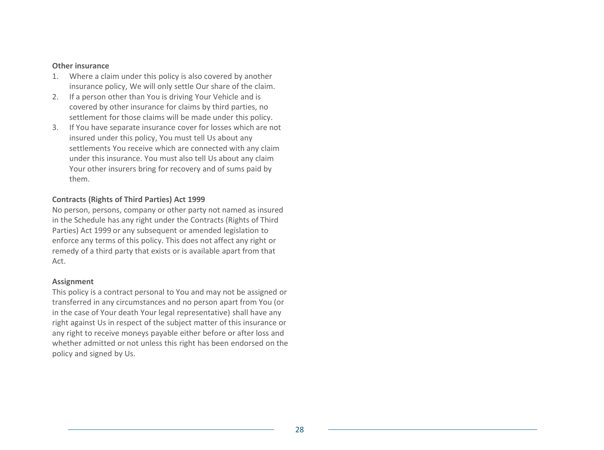#### **Other insurance**

- 1. Where a claim under this policy is also covered by another insurance policy, We will only settle Our share of the claim.
- 2. If a person other than You is driving Your Vehicle and is covered by other insurance for claims by third parties, no settlement for those claims will be made under this policy.
- 3. If You have separate insurance cover for losses which are not insured under this policy, You must tell Us about any settlements You receive which are connected with any claim under this insurance. You must also tell Us about any claim Your other insurers bring for recovery and of sums paid by them.

#### **Contracts (Rights of Third Parties) Act 1999**

No person, persons, company or other party not named as insured in the Schedule has any right under the Contracts (Rights of Third Parties) Act 1999 or any subsequent or amended legislation to enforce any terms of this policy. This does not affect any right or remedy of a third party that exists or is available apart from that Act.

#### **Assignment**

This policy is a contract personal to You and may not be assigned or transferred in any circumstances and no person apart from You (or in the case of Your death Your legal representative) shall have any right against Us in respect of the subject matter of this insurance or any right to receive moneys payable either before or after loss and whether admitted or not unless this right has been endorsed on the policy and signed by Us.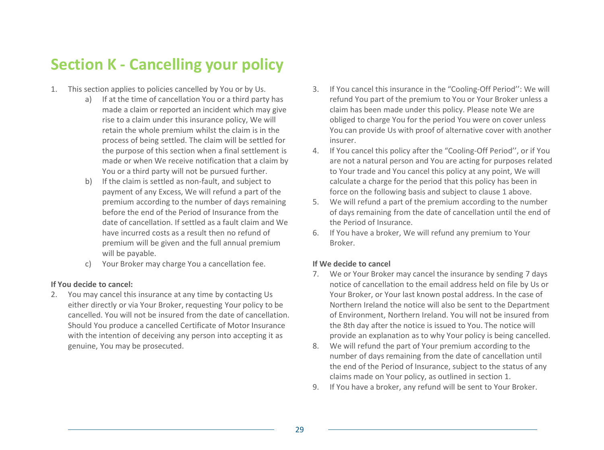### **Section K - Cancelling your policy**

- 1. This section applies to policies cancelled by You or by Us.
	- a) If at the time of cancellation You or a third party has made a claim or reported an incident which may give rise to a claim under this insurance policy, We will retain the whole premium whilst the claim is in the process of being settled. The claim will be settled for the purpose of this section when a final settlement is made or when We receive notification that a claim by You or a third party will not be pursued further.
	- b) If the claim is settled as non-fault, and subject to payment of any Excess, We will refund a part of the premium according to the number of days remaining before the end of the Period of Insurance from the date of cancellation. If settled as a fault claim and We have incurred costs as a result then no refund of premium will be given and the full annual premium will be payable.
	- c) Your Broker may charge You a cancellation fee.

#### **If You decide to cancel:**

2. You may cancel this insurance at any time by contacting Us either directly or via Your Broker, requesting Your policy to be cancelled. You will not be insured from the date of cancellation. Should You produce a cancelled Certificate of Motor Insurance with the intention of deceiving any person into accepting it as genuine, You may be prosecuted.

- 3. If You cancel this insurance in the "Cooling-Off Period'': We will refund You part of the premium to You or Your Broker unless a claim has been made under this policy. Please note We are obliged to charge You for the period You were on cover unless You can provide Us with proof of alternative cover with another insurer.
- 4. If You cancel this policy after the "Cooling-Off Period'', or if You are not a natural person and You are acting for purposes related to Your trade and You cancel this policy at any point, We will calculate a charge for the period that this policy has been in force on the following basis and subject to clause 1 above.
- 5. We will refund a part of the premium according to the number of days remaining from the date of cancellation until the end of the Period of Insurance.
- 6. If You have a broker, We will refund any premium to Your Broker.

#### **If We decide to cancel**

- 7. We or Your Broker may cancel the insurance by sending 7 days notice of cancellation to the email address held on file by Us or Your Broker, or Your last known postal address. In the case of Northern Ireland the notice will also be sent to the Department of Environment, Northern Ireland. You will not be insured from the 8th day after the notice is issued to You. The notice will provide an explanation as to why Your policy is being cancelled.
- 8. We will refund the part of Your premium according to the number of days remaining from the date of cancellation until the end of the Period of Insurance, subject to the status of any claims made on Your policy, as outlined in section 1.
- 9. If You have a broker, any refund will be sent to Your Broker.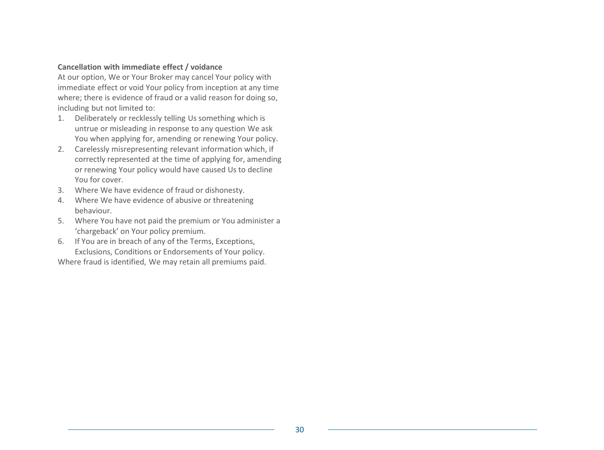#### **Cancellation with immediate effect / voidance**

At our option, We or Your Broker may cancel Your policy with immediate effect or void Your policy from inception at any time where; there is evidence of fraud or a valid reason for doing so, including but not limited to:

- 1. Deliberately or recklessly telling Us something which is untrue or misleading in response to any question We ask You when applying for, amending or renewing Your policy.
- 2. Carelessly misrepresenting relevant information which, if correctly represented at the time of applying for, amending or renewing Your policy would have caused Us to decline You for cover.
- 3. Where We have evidence of fraud or dishonesty.
- 4. Where We have evidence of abusive or threatening behaviour.
- 5. Where You have not paid the premium or You administer a 'chargeback' on Your policy premium.
- 6. If You are in breach of any of the Terms, Exceptions, Exclusions, Conditions or Endorsements of Your policy.

Where fraud is identified, We may retain all premiums paid.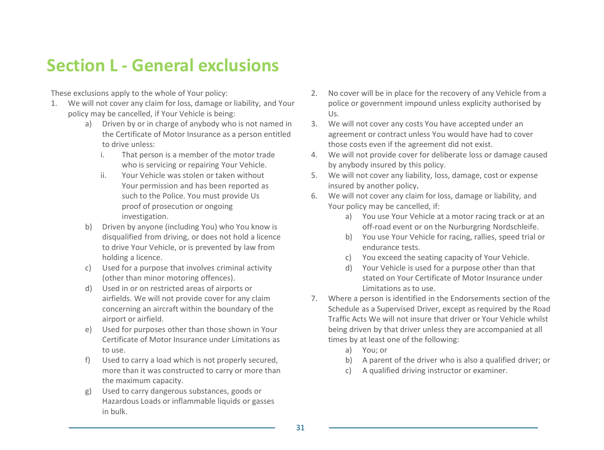### **Section L - General exclusions**

These exclusions apply to the whole of Your policy:

- 1. We will not cover any claim for loss, damage or liability, and Your policy may be cancelled, if Your Vehicle is being:
	- a) Driven by or in charge of anybody who is not named in the Certificate of Motor Insurance as a person entitled to drive unless:
		- i. That person is a member of the motor trade who is servicing or repairing Your Vehicle.
		- ii. Your Vehicle was stolen or taken without Your permission and has been reported as such to the Police. You must provide Us proof of prosecution or ongoing investigation.
	- b) Driven by anyone (including You) who You know is disqualified from driving, or does not hold a licence to drive Your Vehicle, or is prevented by law from holding a licence.
	- c) Used for a purpose that involves criminal activity (other than minor motoring offences).
	- d) Used in or on restricted areas of airports or airfields. We will not provide cover for any claim concerning an aircraft within the boundary of the airport or airfield.
	- e) Used for purposes other than those shown in Your Certificate of Motor Insurance under Limitations as to use.
	- f) Used to carry a load which is not properly secured, more than it was constructed to carry or more than the maximum capacity.
	- g) Used to carry dangerous substances, goods or Hazardous Loads or inflammable liquids or gasses in bulk.
- 2. No cover will be in place for the recovery of any Vehicle from a police or government impound unless explicity authorised by Us.
- 3. We will not cover any costs You have accepted under an agreement or contract unless You would have had to cover those costs even if the agreement did not exist.
- 4. We will not provide cover for deliberate loss or damage caused by anybody insured by this policy.
- 5. We will not cover any liability, loss, damage, cost or expense insured by another policy.
- 6. We will not cover any claim for loss, damage or liability, and Your policy may be cancelled, if:
	- a) You use Your Vehicle at a motor racing track or at an off-road event or on the Nurburgring Nordschleife.
	- b) You use Your Vehicle for racing, rallies, speed trial or endurance tests.
	- c) You exceed the seating capacity of Your Vehicle.
	- d) Your Vehicle is used for a purpose other than that stated on Your Certificate of Motor Insurance under Limitations as to use.
- 7. Where a person is identified in the Endorsements section of the Schedule as a Supervised Driver, except as required by the Road Traffic Acts We will not insure that driver or Your Vehicle whilst being driven by that driver unless they are accompanied at all times by at least one of the following:
	- a) You; or
	- b) A parent of the driver who is also a qualified driver; or
	- c) A qualified driving instructor or examiner.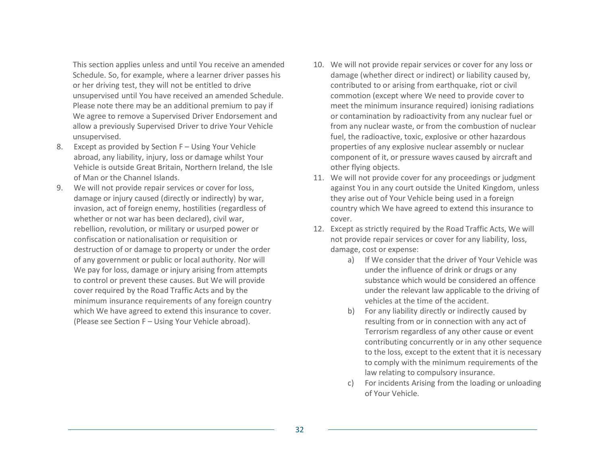This section applies unless and until You receive an amended Schedule. So, for example, where a learner driver passes his or her driving test, they will not be entitled to drive unsupervised until You have received an amended Schedule. Please note there may be an additional premium to pay if We agree to remove a Supervised Driver Endorsement and allow a previously Supervised Driver to drive Your Vehicle unsupervised.

- 8. Except as provided by Section F Using Your Vehicle abroad, any liability, injury, loss or damage whilst Your Vehicle is outside Great Britain, Northern Ireland, the Isle of Man or the Channel Islands.
- 9. We will not provide repair services or cover for loss, damage or injury caused (directly or indirectly) by war, invasion, act of foreign enemy, hostilities (regardless of whether or not war has been declared), civil war, rebellion, revolution, or military or usurped power or confiscation or nationalisation or requisition or destruction of or damage to property or under the order of any government or public or local authority. Nor will We pay for loss, damage or injury arising from attempts to control or prevent these causes. But We will provide cover required by the Road Traffic Acts and by the minimum insurance requirements of any foreign country which We have agreed to extend this insurance to cover. (Please see Section F – Using Your Vehicle abroad).
- 10. We will not provide repair services or cover for any loss or damage (whether direct or indirect) or liability caused by, contributed to or arising from earthquake, riot or civil commotion (except where We need to provide cover to meet the minimum insurance required) ionising radiations or contamination by radioactivity from any nuclear fuel or from any nuclear waste, or from the combustion of nuclear fuel, the radioactive, toxic, explosive or other hazardous properties of any explosive nuclear assembly or nuclear component of it, or pressure waves caused by aircraft and other flying objects.
- 11. We will not provide cover for any proceedings or judgment against You in any court outside the United Kingdom, unless they arise out of Your Vehicle being used in a foreign country which We have agreed to extend this insurance to cover.
- 12. Except as strictly required by the Road Traffic Acts, We will not provide repair services or cover for any liability, loss, damage, cost or expense:
	- a) If We consider that the driver of Your Vehicle was under the influence of drink or drugs or any substance which would be considered an offence under the relevant law applicable to the driving of vehicles at the time of the accident.
	- b) For any liability directly or indirectly caused by resulting from or in connection with any act of Terrorism regardless of any other cause or event contributing concurrently or in any other sequence to the loss, except to the extent that it is necessary to comply with the minimum requirements of the law relating to compulsory insurance.
	- c) For incidents Arising from the loading or unloading of Your Vehicle.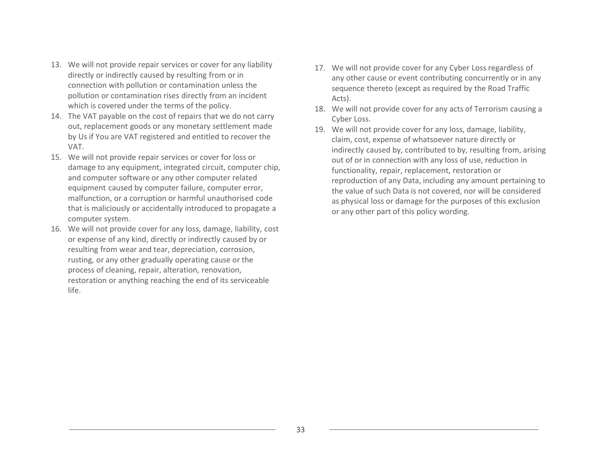- 13. We will not provide repair services or cover for any liability directly or indirectly caused by resulting from or in connection with pollution or contamination unless the pollution or contamination rises directly from an incident which is covered under the terms of the policy.
- 14. The VAT payable on the cost of repairs that we do not carry out, replacement goods or any monetary settlement made by Us if You are VAT registered and entitled to recover the VAT.
- 15. We will not provide repair services or cover for loss or damage to any equipment, integrated circuit, computer chip, and computer software or any other computer related equipment caused by computer failure, computer error, malfunction, or a corruption or harmful unauthorised code that is maliciously or accidentally introduced to propagate a computer system.
- 16. We will not provide cover for any loss, damage, liability, cost or expense of any kind, directly or indirectly caused by or resulting from wear and tear, depreciation, corrosion, rusting, or any other gradually operating cause or the process of cleaning, repair, alteration, renovation, restoration or anything reaching the end of its serviceable life.
- 17. We will not provide cover for any Cyber Loss regardless of any other cause or event contributing concurrently or in any sequence thereto (except as required by the Road Traffic Acts).
- 18. We will not provide cover for any acts of Terrorism causing a Cyber Loss.
- 19. We will not provide cover for any loss, damage, liability, claim, cost, expense of whatsoever nature directly or indirectly caused by, contributed to by, resulting from, arising out of or in connection with any loss of use, reduction in functionality, repair, replacement, restoration or reproduction of any Data, including any amount pertaining to the value of such Data is not covered, nor will be considered as physical loss or damage for the purposes of this exclusion or any other part of this policy wording.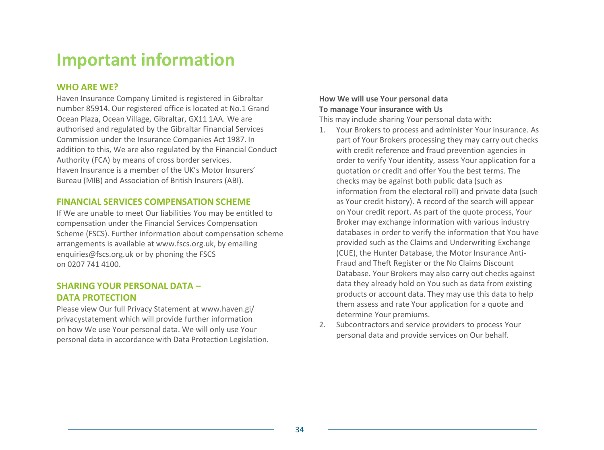### **Important information**

#### **WHO ARE WE?**

Haven Insurance Company Limited is registered in Gibraltar number 85914. Our registered office is located at No.1 Grand Ocean Plaza, Ocean Village, Gibraltar, GX11 1AA. We are authorised and regulated by the Gibraltar Financial Services Commission under the Insurance Companies Act 1987. In addition to this, We are also regulated by the Financial Conduct Authority (FCA) by means of cross border services. Haven Insurance is a member of the UK's Motor Insurers' Bureau (MIB) and Association of British Insurers (ABI).

#### **FINANCIAL SERVICES COMPENSATION SCHEME**

If We are unable to meet Our liabilities You may be entitled to compensation under the Financial Services Compensation Scheme (FSCS). Further information about compensation scheme arrangements is available at www.fscs.org.uk, by emailing enquiries@fscs.org.uk or by phoning the FSCS on 0207 741 4100.

#### **SHARING YOUR PERSONAL DATA – DATA PROTECTION**

Please view Our full Privacy Statement at www.haven.gi/ privacystatement which will provide further information on how We use Your personal data. We will only use Your personal data in accordance with Data Protection Legislation.

#### **How We will use Your personal data To manage Your insurance with Us**

This may include sharing Your personal data with:

- 1. Your Brokers to process and administer Your insurance. As part of Your Brokers processing they may carry out checks with credit reference and fraud prevention agencies in order to verify Your identity, assess Your application for a quotation or credit and offer You the best terms. The checks may be against both public data (such as information from the electoral roll) and private data (such as Your credit history). A record of the search will appear on Your credit report. As part of the quote process, Your Broker may exchange information with various industry databases in order to verify the information that You have provided such as the Claims and Underwriting Exchange (CUE), the Hunter Database, the Motor Insurance Anti-Fraud and Theft Register or the No Claims Discount Database. Your Brokers may also carry out checks against data they already hold on You such as data from existing products or account data. They may use this data to help them assess and rate Your application for a quote and determine Your premiums.
- 2. Subcontractors and service providers to process Your personal data and provide services on Our behalf.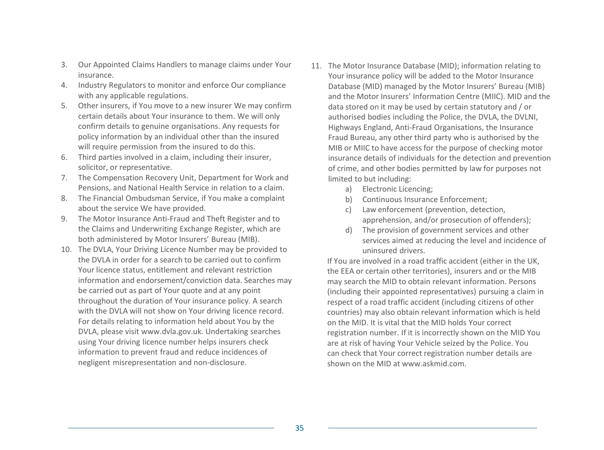- 3. Our Appointed Claims Handlers to manage claims under Your insurance.
- 4. Industry Regulators to monitor and enforce Our compliance with any applicable regulations.
- 5. Other insurers, if You move to a new insurer We may confirm certain details about Your insurance to them. We will only confirm details to genuine organisations. Any requests for policy information by an individual other than the insured will require permission from the insured to do this.
- 6. Third parties involved in a claim, including their insurer, solicitor, or representative.
- 7. The Compensation Recovery Unit, Department for Work and Pensions, and National Health Service in relation to a claim.
- 8. The Financial Ombudsman Service, if You make a complaint about the service We have provided.
- 9. The Motor Insurance Anti-Fraud and Theft Register and to the Claims and Underwriting Exchange Register, which are both administered by Motor Insurers' Bureau (MIB).
- 10. The DVLA, Your Driving Licence Number may be provided to the DVLA in order for a search to be carried out to confirm Your licence status, entitlement and relevant restriction information and endorsement/conviction data. Searches may be carried out as part of Your quote and at any point throughout the duration of Your insurance policy. A search with the DVLA will not show on Your driving licence record. For details relating to information held about You by the DVLA, please visit www.dvla.gov.uk. Undertaking searches using Your driving licence number helps insurers check information to prevent fraud and reduce incidences of negligent misrepresentation and non-disclosure.
- 11. The Motor Insurance Database (MID); information relating to Your insurance policy will be added to the Motor Insurance Database (MID) managed by the Motor Insurers' Bureau (MIB) and the Motor Insurers' Information Centre (MIIC). MID and the data stored on it may be used by certain statutory and / or authorised bodies including the Police, the DVLA, the DVLNI, Highways England, Anti-Fraud Organisations, the Insurance Fraud Bureau, any other third party who is authorised by the MIB or MIIC to have access for the purpose of checking motor insurance details of individuals for the detection and prevention of crime, and other bodies permitted by law for purposes not limited to but including:
	- a) Electronic Licencing;
	- b) Continuous Insurance Enforcement;
	- c) Law enforcement (prevention, detection, apprehension, and/or prosecution of offenders);
	- d) The provision of government services and other services aimed at reducing the level and incidence of uninsured drivers.

If You are involved in a road traffic accident (either in the UK, the EEA or certain other territories), insurers and or the MIB may search the MID to obtain relevant information. Persons (including their appointed representatives) pursuing a claim in respect of a road traffic accident (including citizens of other countries) may also obtain relevant information which is held on the MID. It is vital that the MID holds Your correct registration number. If it is incorrectly shown on the MID You are at risk of having Your Vehicle seized by the Police. You can check that Your correct registration number details are shown on the MID at www.askmid.com.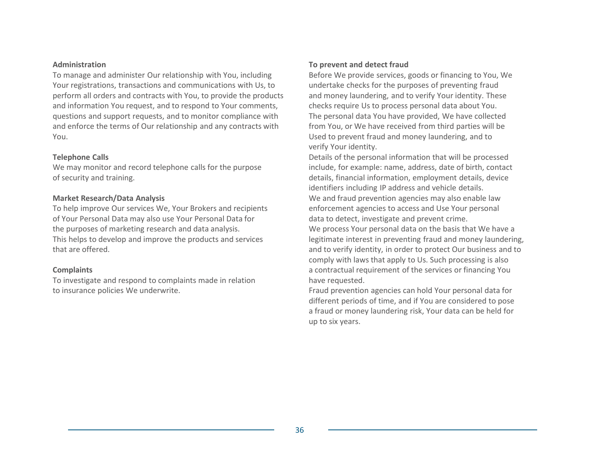#### **Administration**

To manage and administer Our relationship with You, including Your registrations, transactions and communications with Us, to perform all orders and contracts with You, to provide the products and information You request, and to respond to Your comments, questions and support requests, and to monitor compliance with and enforce the terms of Our relationship and any contracts with You.

#### **Telephone Calls**

We may monitor and record telephone calls for the purpose of security and training.

#### **Market Research/Data Analysis**

To help improve Our services We, Your Brokers and recipients of Your Personal Data may also use Your Personal Data for the purposes of marketing research and data analysis. This helps to develop and improve the products and services that are offered.

#### **Complaints**

To investigate and respond to complaints made in relation to insurance policies We underwrite.

#### **To prevent and detect fraud**

Before We provide services, goods or financing to You, We undertake checks for the purposes of preventing fraud and money laundering, and to verify Your identity. These checks require Us to process personal data about You. The personal data You have provided, We have collected from You, or We have received from third parties will be Used to prevent fraud and money laundering, and to verify Your identity.

Details of the personal information that will be processed include, for example: name, address, date of birth, contact details, financial information, employment details, device identifiers including IP address and vehicle details. We and fraud prevention agencies may also enable law enforcement agencies to access and Use Your personal data to detect, investigate and prevent crime. We process Your personal data on the basis that We have a legitimate interest in preventing fraud and money laundering, and to verify identity, in order to protect Our business and to comply with laws that apply to Us. Such processing is also a contractual requirement of the services or financing You have requested.

Fraud prevention agencies can hold Your personal data for different periods of time, and if You are considered to pose a fraud or money laundering risk, Your data can be held for up to six years.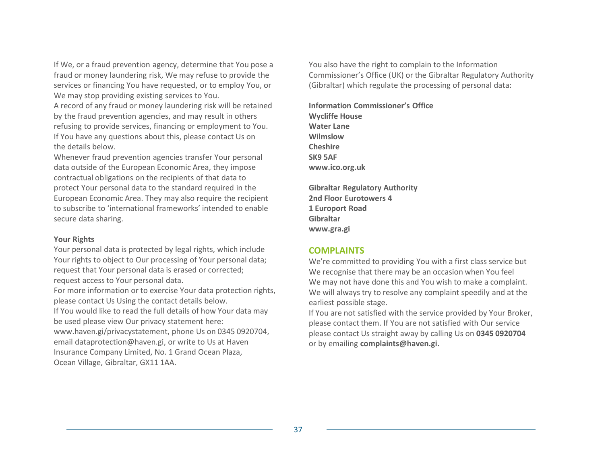If We, or a fraud prevention agency, determine that You pose a fraud or money laundering risk, We may refuse to provide the services or financing You have requested, or to employ You, or We may stop providing existing services to You.

A record of any fraud or money laundering risk will be retained by the fraud prevention agencies, and may result in others refusing to provide services, financing or employment to You. If You have any questions about this, please contact Us on the details below.

Whenever fraud prevention agencies transfer Your personal data outside of the European Economic Area, they impose contractual obligations on the recipients of that data to protect Your personal data to the standard required in the European Economic Area. They may also require the recipient to subscribe to 'international frameworks' intended to enable secure data sharing.

#### **Your Rights**

Your personal data is protected by legal rights, which include Your rights to object to Our processing of Your personal data; request that Your personal data is erased or corrected; request access to Your personal data.

For more information or to exercise Your data protection rights, please contact Us Using the contact details below.

If You would like to read the full details of how Your data may be used please view Our privacy statement here: www.haven.gi/privacystatement, phone Us on 0345 0920704, email dataprotection@haven.gi, or write to Us at Haven Insurance Company Limited, No. 1 Grand Ocean Plaza, Ocean Village, Gibraltar, GX11 1AA.

You also have the right to complain to the Information Commissioner's Office (UK) or the Gibraltar Regulatory Authority (Gibraltar) which regulate the processing of personal data:

**Information Commissioner's Office Wycliffe House Water Lane Wilmslow Cheshire SK9 5AF www.ico.org.uk**

**Gibraltar Regulatory Authority 2nd Floor Eurotowers 4 1 Europort Road Gibraltar www.gra.gi**

#### **COMPLAINTS**

We're committed to providing You with a first class service but We recognise that there may be an occasion when You feel We may not have done this and You wish to make a complaint. We will always try to resolve any complaint speedily and at the earliest possible stage.

If You are not satisfied with the service provided by Your Broker, please contact them. If You are not satisfied with Our service please contact Us straight away by calling Us on **0345 0920704**  or by emailing **complaints@haven.gi.**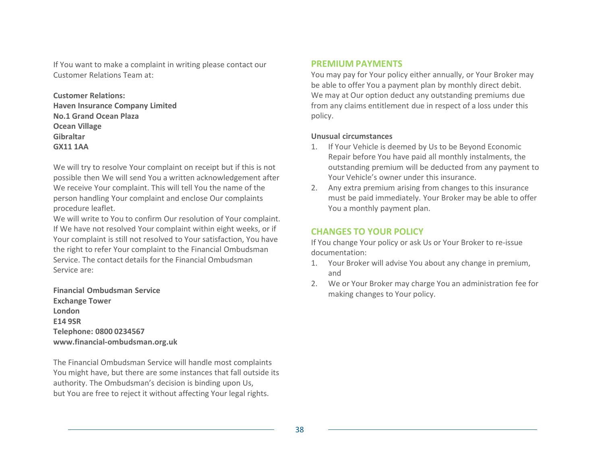If You want to make a complaint in writing please contact our Customer Relations Team at:

**Customer Relations: Haven Insurance Company Limited No.1 Grand Ocean Plaza Ocean Village Gibraltar GX11 1AA**

We will try to resolve Your complaint on receipt but if this is not possible then We will send You a written acknowledgement after We receive Your complaint. This will tell You the name of the person handling Your complaint and enclose Our complaints procedure leaflet.

We will write to You to confirm Our resolution of Your complaint. If We have not resolved Your complaint within eight weeks, or if Your complaint is still not resolved to Your satisfaction, You have the right to refer Your complaint to the Financial Ombudsman Service. The contact details for the Financial Ombudsman Service are:

**Financial Ombudsman Service Exchange Tower London E14 9SR Telephone: 0800 0234567 www.financial-ombudsman.org.uk**

The Financial Ombudsman Service will handle most complaints You might have, but there are some instances that fall outside its authority. The Ombudsman's decision is binding upon Us, but You are free to reject it without affecting Your legal rights.

#### **PREMIUM PAYMENTS**

You may pay for Your policy either annually, or Your Broker may be able to offer You a payment plan by monthly direct debit. We may at Our option deduct any outstanding premiums due from any claims entitlement due in respect of a loss under this policy.

#### **Unusual circumstances**

- 1. If Your Vehicle is deemed by Us to be Beyond Economic Repair before You have paid all monthly instalments, the outstanding premium will be deducted from any payment to Your Vehicle's owner under this insurance.
- 2. Any extra premium arising from changes to this insurance must be paid immediately. Your Broker may be able to offer You a monthly payment plan.

#### **CHANGES TO YOUR POLICY**

If You change Your policy or ask Us or Your Broker to re-issue documentation:

- 1. Your Broker will advise You about any change in premium, and
- 2. We or Your Broker may charge You an administration fee for making changes to Your policy.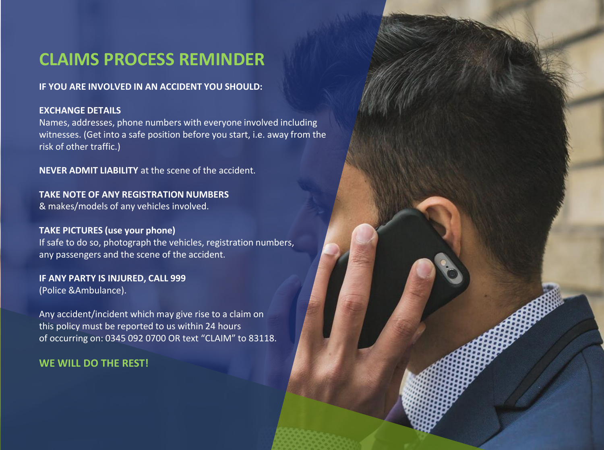### **CLAIMS PROCESS REMINDER**

#### **IF YOU ARE INVOLVED IN AN ACCIDENT YOU SHOULD:**

#### **EXCHANGE DETAILS**

Names, addresses, phone numbers with everyone involved including witnesses. (Get into a safe position before you start, i.e. away from the risk of other traffic.)

**NEVER ADMIT LIABILITY** at the scene of the accident.

**TAKE NOTE OF ANY REGISTRATION NUMBERS** & makes/models of any vehicles involved.

#### **TAKE PICTURES (use your phone)**

If safe to do so, photograph the vehicles, registration numbers, any passengers and the scene of the accident.

**IF ANY PARTY IS INJURED, CALL 999** (Police &Ambulance).

Any accident/incident which may give rise to a claim on this policy must be reported to us within 24 hours of occurring on: 0345 092 0700 OR text "CLAIM" to 83118.

#### **WE WILL DO THE REST!**